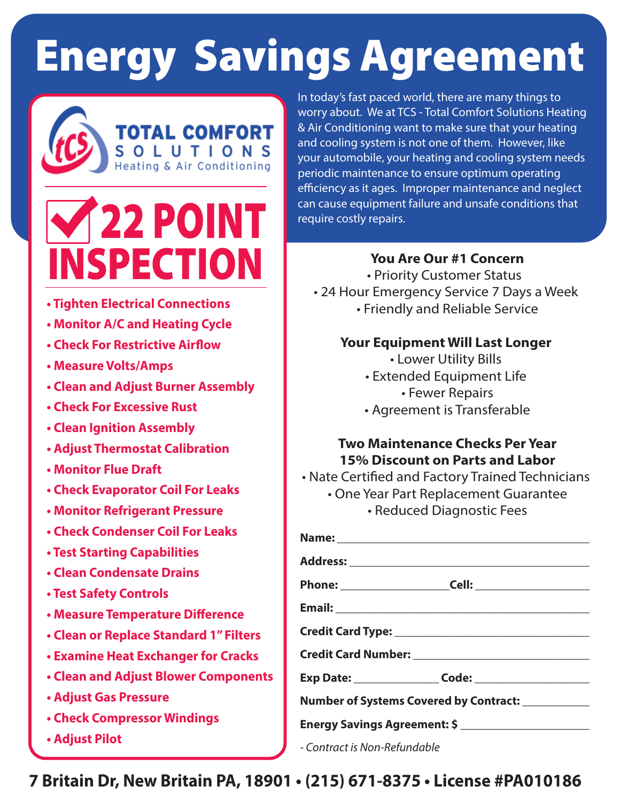# **Energy Savings Agreement**



## 22 POINT <u>INSPECTION</u>

- **Tighten Electrical Connections**
- **Monitor A/C and Heating Cycle**
- **Check For Restrictive Airflow**
- **Measure Volts/Amps**
- **Clean and Adjust Burner Assembly**
- **Check For Excessive Rust**
- **Clean Ignition Assembly**
- **Adjust Thermostat Calibration**
- **Monitor Flue Draft**
- **Check Evaporator Coil For Leaks**
- **Monitor Refrigerant Pressure**
- **Check Condenser Coil For Leaks**
- **Test Starting Capabilities**
- **Clean Condensate Drains**
- **Test Safety Controls**
- **Measure Temperature Difference**
- **Clean or Replace Standard 1" Filters**
- **Examine Heat Exchanger for Cracks**
- **Clean and Adjust Blower Components**
- **Adjust Gas Pressure**
- **Check Compressor Windings**
- **Adjust Pilot**

In today's fast paced world, there are many things to worry about. We at TCS - Total Comfort Solutions Heating & Air Conditioning want to make sure that your heating and cooling system is not one of them. However, like your automobile, your heating and cooling system needs periodic maintenance to ensure optimum operating efficiency as it ages. Improper maintenance and neglect can cause equipment failure and unsafe conditions that require costly repairs.

### **You Are Our #1 Concern**

• Priority Customer Status • 24 Hour Emergency Service 7 Days a Week • Friendly and Reliable Service

#### **Your Equipment Will Last Longer**

- Lower Utility Bills
- Extended Equipment Life
	- Fewer Repairs
- Agreement is Transferable

### **Two Maintenance Checks Per Year 15% Discount on Parts and Labor**

- One Year Part Replacement Guarantee
	- Reduced Diagnostic Fees

|                              | Number of Systems Covered by Contract: ___________ |  |
|------------------------------|----------------------------------------------------|--|
|                              |                                                    |  |
| - Contract is Non-Refundable |                                                    |  |

**7 Britain Dr, New Britain PA, 18901 • (215) 671-8375 • License #PA010186**